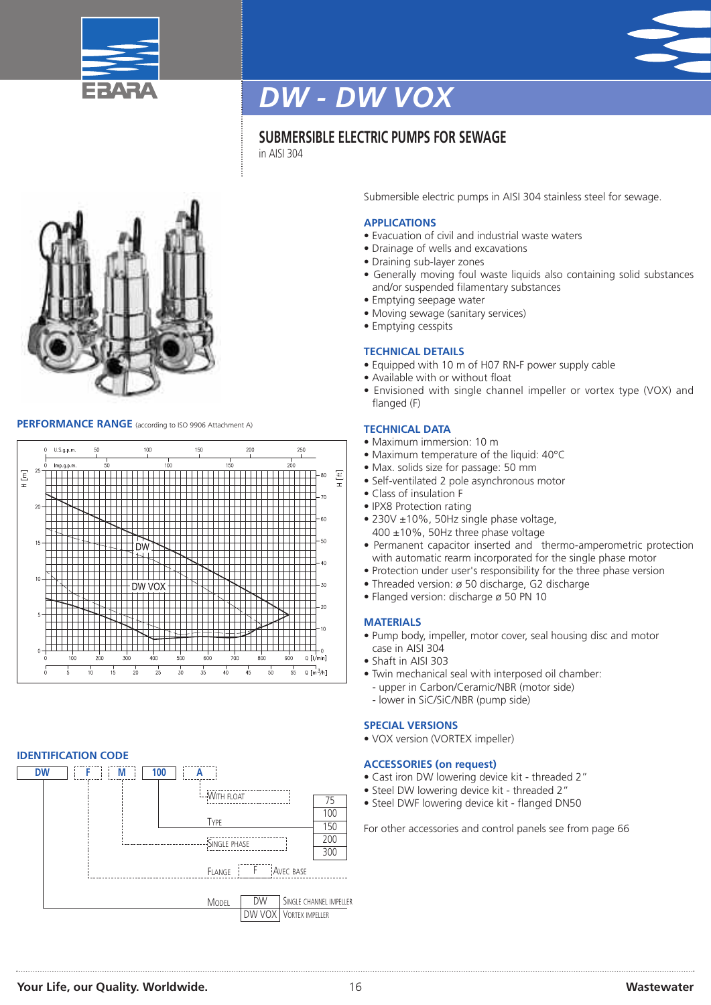



## *DW - DW VOX*

## **SUBMERSIBLE ELECTRIC PUMPS FOR SEWAGE**

in AISI 304



#### **PERFORMANCE RANGE** (according to ISO 9906 Attachment A)



#### **IDENTIFICATION CODE**



Submersible electric pumps in AISI 304 stainless steel for sewage.

#### **APPLICATIONS**

- Evacuation of civil and industrial waste waters
- Drainage of wells and excavations
- Draining sub-layer zones
- Generally moving foul waste liquids also containing solid substances and/or suspended filamentary substances
- Emptying seepage water
- Moving sewage (sanitary services)
- Emptying cesspits

#### **TECHNICAL DETAILS**

- Equipped with 10 m of H07 RN-F power supply cable
- Available with or without float
- Envisioned with single channel impeller or vortex type (VOX) and flanged (F)

#### **TECHNICAL DATA**

- Maximum immersion: 10 m
- Maximum temperature of the liquid: 40°C
- Max. solids size for passage: 50 mm
- Self-ventilated 2 pole asynchronous motor
- Class of insulation F
- IPX8 Protection rating
- 230V ±10%, 50Hz single phase voltage. 400 ±10%, 50Hz three phase voltage
- Permanent capacitor inserted and thermo-amperometric protection with automatic rearm incorporated for the single phase motor
- Protection under user's responsibility for the three phase version
- Threaded version: ø 50 discharge, G2 discharge
- Flanged version: discharge ø 50 PN 10

#### **MATERIALS**

- Pump body, impeller, motor cover, seal housing disc and motor case in AISI 304
- Shaft in AISI 303
- Twin mechanical seal with interposed oil chamber:
	- upper in Carbon/Ceramic/NBR (motor side)
	- lower in SiC/SiC/NBR (pump side)

#### **SPECIAL VERSIONS**

• VOX version (VORTEX impeller)

#### **ACCESSORIES (on request)**

- Cast iron DW lowering device kit threaded 2"
- Steel DW lowering device kit threaded 2"
- Steel DWF lowering device kit flanged DN50

For other accessories and control panels see from page 66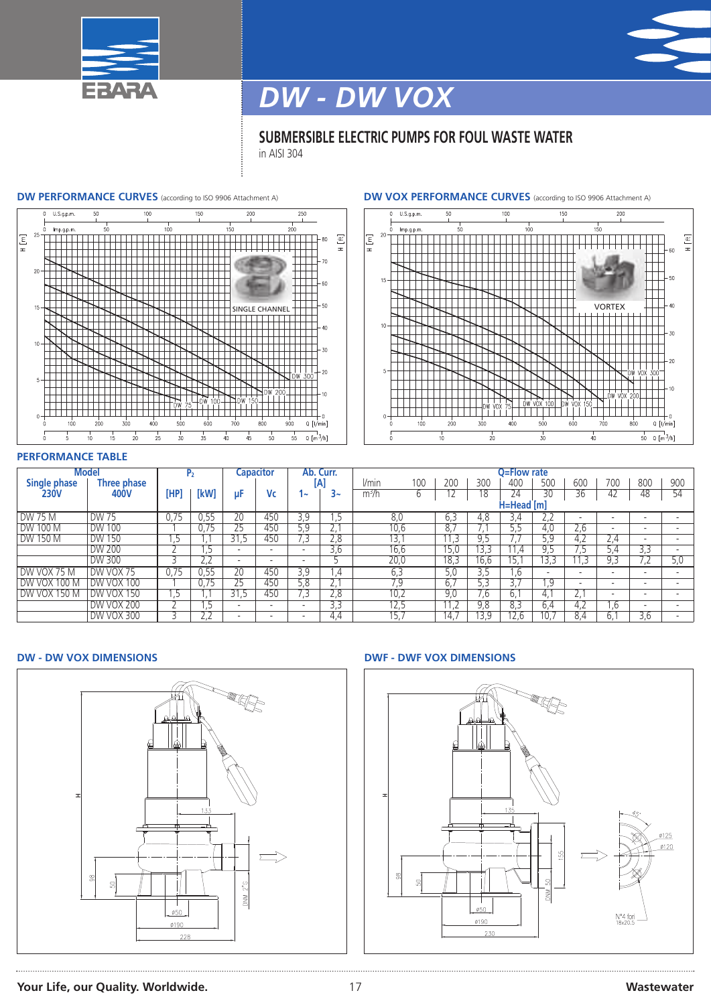



 $+1$  [H]

┯  $\mathbf{1}$ 

╥ ┯┷

╥

 $\frac{1}{50}$  Q [m<sup>3</sup>/h]

 $Q$  [ $/min$ ]

 $800$ 

. . . . .

VORTEX

 $\frac{200}{1}$ 

<u> 1989 - 2001 - 2002 - 200</u>

 $\frac{1}{150}$ 

# *DW - DW VOX*

#### **SUBMERSIBLE ELECTRIC PUMPS FOR FOUL WASTE WATER** in AISI 304



#### **PERFORMANCE TABLE**

|                     | <b>Model</b>      |      | Р,   |                          | <b>Capacitor</b>         |     | Ab. Curr.                  |            |     |                   |      | Q=Flow rate |     |                          |                  |                          |     |
|---------------------|-------------------|------|------|--------------------------|--------------------------|-----|----------------------------|------------|-----|-------------------|------|-------------|-----|--------------------------|------------------|--------------------------|-----|
| <b>Single phase</b> | Three phase       |      |      |                          |                          | ΙA  |                            | l/min      | 100 | 200               | 300  | 400         | 500 | 600                      | 700              | 800                      | 900 |
| <b>230V</b>         | 400V              | [HP] | [kW] | μF                       | Vc                       | ∼   | 3~                         | $m^3/h$    | 6   | 12                | 18   | 24          | 30  | 36                       | 42               | 48                       | 54  |
|                     |                   |      |      |                          |                          |     |                            | H=Head [m] |     |                   |      |             |     |                          |                  |                          |     |
| DW 75 M             | <b>DW 75</b>      | 0.75 | U.55 | 20                       | 450                      | 3.9 | . כ                        | 8,0        |     | 6.3               | 4.8  | 3,4         | L.L |                          |                  |                          |     |
| DW 100 M            | <b>DW 100</b>     |      | 0.75 | $\overline{25}$          | 450                      | 5.9 | $\mathcal{L}, \mathcal{L}$ | 10,6       |     | 8.7               |      | 5.5         | 4.0 | 2,6                      | $\sim$           | $\overline{\phantom{0}}$ |     |
| DW 150 M            | <b>DW 150</b>     | ל.   |      | 31,5                     | 450                      |     | 2,8                        | 13,1       |     |                   | 9.5  |             | 5.9 | 4,2                      | $\overline{2.4}$ | $\overline{\phantom{0}}$ |     |
|                     | <b>DW 200</b>     |      | ל.   | $\overline{\phantom{0}}$ | $\overline{\phantom{0}}$ |     | 3,6                        | 16,6       |     | 15,6              | 13,3 |             | 9.5 | . 3                      | 5.4              | 3,3                      |     |
|                     | <b>DW 300</b>     |      | L.L  | $\overline{\phantom{0}}$ | $\overline{\phantom{a}}$ |     |                            | 20.0       |     | 18.3              | 16.6 | 5.          | 3.3 | $\overline{1.3}$         | 9,3              |                          | 5,0 |
| DW VOX 75 M         | DW VOX 75         | 0.75 | 0,55 | 20                       | 450                      | 3,9 | - 4                        | 6.3        |     | 5,0               | 3.5  | .b          |     | $\overline{\phantom{a}}$ |                  | $\overline{\phantom{0}}$ |     |
| DW VOX 100 M        | <b>DW VOX 100</b> |      |      | 25                       | 450                      | 5,8 | $\mathcal{L}_{I}$          | 7,9        |     | 6.,               | 5.3  |             | .9  | $\overline{\phantom{a}}$ |                  | $\overline{\phantom{0}}$ |     |
| <b>DW VOX 150 M</b> | <b>DW VOX 150</b> | 5.   |      | 31.5                     | 450                      |     | 2,8                        | 10,2       |     | 9,0               | '.b  | 6.1         | 4.  | Z.                       |                  | $\overline{\phantom{0}}$ |     |
|                     | <b>DW VOX 200</b> |      | . כ  | $\overline{\phantom{0}}$ | $\overline{\phantom{a}}$ |     | $\overline{3.3}$           | 12,5       |     |                   | 9,8  | 8.3         | 6,4 | 4,2                      | .6               | $\overline{\phantom{a}}$ |     |
|                     | <b>DW VOX 300</b> |      | Z.Z  | $\overline{\phantom{a}}$ | $\overline{\phantom{0}}$ |     | 4.4                        | 15.7       |     | $1\overline{4}$ , | 13,9 | 12.6        | 10. | 8.4                      |                  | 3,6                      |     |



#### **DW - DW VOX DIMENSIONS DWF - DWF VOX DIMENSIONS**



#### $100$ <u>sa sa sa sa sa sa sa s</u> <u>Till i skrift</u> mm

 $\frac{100}{x}$ 

 $400$ 

 $300$ 

 $\frac{1}{20}$ 

 $\frac{1}{500}$ 

 $\frac{1}{30}$ 

 $600$ 

 $700$ 

 $\frac{1}{40}$ 

 $\frac{1}{150}$ 

### **Your Life, our Quality. Worldwide.** 17 **Wastewater**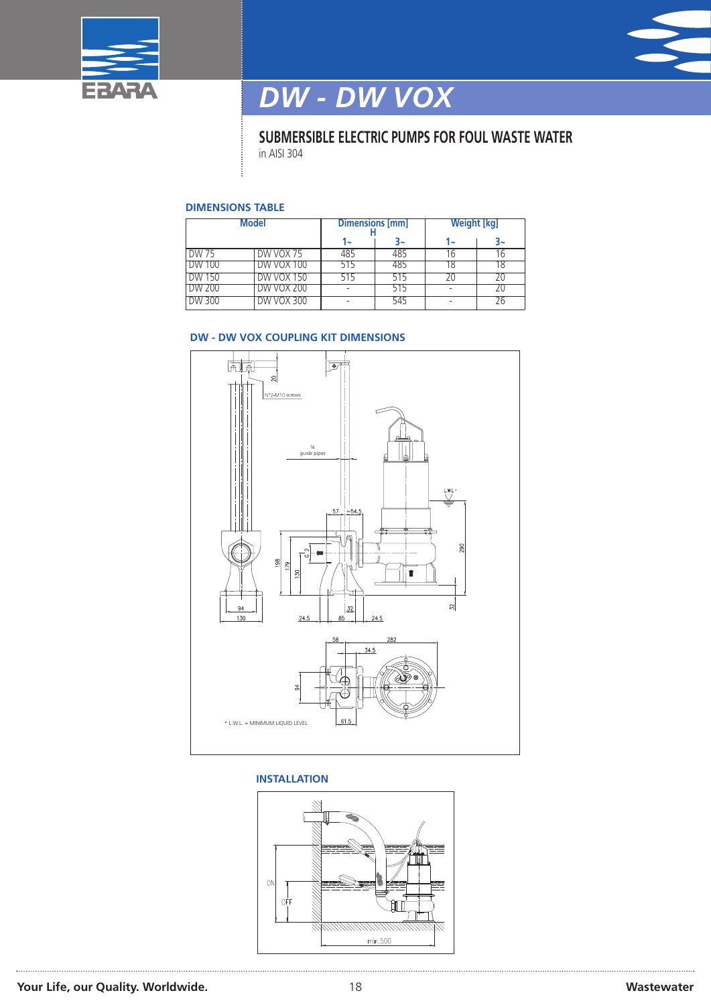



# *DW - DW VOX*

### **SUBMERSIBLE ELECTRIC PUMPS FOR FOUL WASTE WATER** in AISI 304

#### **DIMENSIONS TABLE**

|               | Model             |     | <b>Dimensions [mm]</b> | <b>Weight [kg]</b>       |    |  |  |
|---------------|-------------------|-----|------------------------|--------------------------|----|--|--|
|               |                   | 1~  | 3~                     | 1~                       | 3~ |  |  |
| DW 75         | DW VOX 75         | 485 | 485                    | l 6                      | b  |  |  |
| <b>DW 100</b> | <b>DW VOX 100</b> | 515 | 485                    | 18                       | 18 |  |  |
| DW 150        | <b>DW VOX 150</b> | 515 | 515                    | 20                       |    |  |  |
| DW 200        | DW VOX 200        |     | כוכ                    |                          |    |  |  |
| DW 300        | DW VOX 300        |     |                        | $\overline{\phantom{a}}$ |    |  |  |

### **DW - DW VOX COUPLING KIT DIMENSIONS**



#### **INSTALLATION**